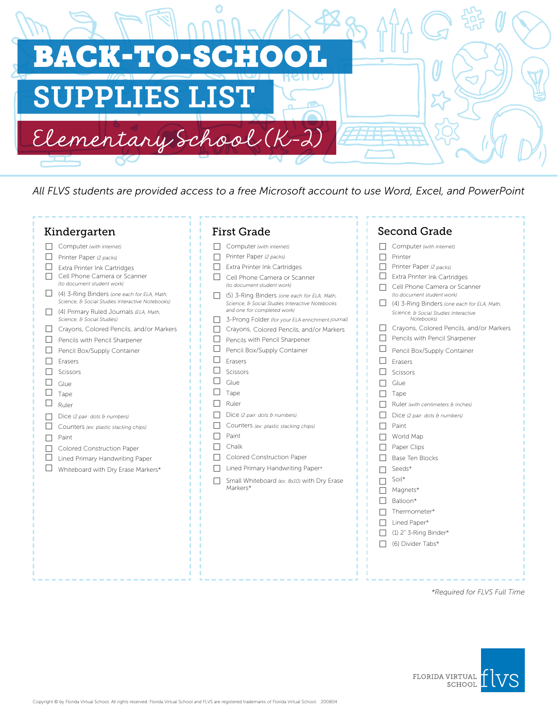

*All FLVS students are provided access to a free Microsoft account to use Word, Excel, and PowerPoint*

| Kindergarten                                                                                                                                                                                                                                                                                                                                                                                                                                                                                                                                                                                                                                                                       | <b>First Grade</b>                                                                                                                                                                                                                                                                                                                                                                                                                                                                                                                                                                                                                                                                                                                                                                       | <b>Second Grade</b>                                                                                                                                                                                                                                                                                                                                                                                                                                                                                                                                                                                                                                                                                                                                                                            |
|------------------------------------------------------------------------------------------------------------------------------------------------------------------------------------------------------------------------------------------------------------------------------------------------------------------------------------------------------------------------------------------------------------------------------------------------------------------------------------------------------------------------------------------------------------------------------------------------------------------------------------------------------------------------------------|------------------------------------------------------------------------------------------------------------------------------------------------------------------------------------------------------------------------------------------------------------------------------------------------------------------------------------------------------------------------------------------------------------------------------------------------------------------------------------------------------------------------------------------------------------------------------------------------------------------------------------------------------------------------------------------------------------------------------------------------------------------------------------------|------------------------------------------------------------------------------------------------------------------------------------------------------------------------------------------------------------------------------------------------------------------------------------------------------------------------------------------------------------------------------------------------------------------------------------------------------------------------------------------------------------------------------------------------------------------------------------------------------------------------------------------------------------------------------------------------------------------------------------------------------------------------------------------------|
| Computer (with internet)<br>Printer Paper (2 packs)<br>Extra Printer Ink Cartridges<br>Cell Phone Camera or Scanner<br>(to document student work)<br>(4) 3-Ring Binders (one each for ELA, Math,<br>Science, & Social Studies Interactive Notebooks)<br>(4) Primary Ruled Journals (ELA, Math,<br>Science, & Social Studies)<br>Crayons, Colored Pencils, and/or Markers<br>Pencils with Pencil Sharpener<br>Pencil Box/Supply Container<br>Erasers<br>Scissors<br>Glue<br>Tape<br>Ruler<br>Dice (2 pair: dots & numbers)<br>Counters (ex: plastic stacking chips)<br>Paint<br>Colored Construction Paper<br>Lined Primary Handwriting Paper<br>Whiteboard with Dry Erase Markers* | Computer (with internet)<br>П<br>Printer Paper (2 packs)<br>$\Box$<br>Extra Printer Ink Cartridges<br>Cell Phone Camera or Scanner<br>$\mathsf{L}$<br>(to document student work)<br>(5) 3-Ring Binders (one each for ELA, Math,<br>Science, & Social Studies Interactive Notebooks<br>and one for completed work)<br>3-Prong Folder (for your ELA enrichment journal)<br>$\mathsf{L}$<br>Crayons, Colored Pencils, and/or Markers<br>П<br>Pencils with Pencil Sharpener<br>Pencil Box/Supply Container<br>⊔<br>Erasers<br>Scissors<br>Glue<br>Tape<br>Ruler<br>Dice (2 pair: dots & numbers)<br>Counters (ex: plastic stacking chips)<br>Paint<br>Chalk<br>П<br>Colored Construction Paper<br>Lined Primary Handwriting Paper*<br>Small Whiteboard (ex: 8x10) with Dry Erase<br>Markers* | Computer (with internet)<br>П<br>П<br>Printer<br>П<br>Printer Paper (2 packs)<br>Extra Printer Ink Cartridges<br>⊔<br>Cell Phone Camera or Scanner<br>(to document student work)<br>(4) 3-Ring Binders (one each for ELA, Math,<br>Science, & Social Studies Interactive<br>Notebooks)<br>Crayons, Colored Pencils, and/or Markers<br>Pencils with Pencil Sharpener<br>$\Box$<br>ப<br>Pencil Box/Supply Container<br>$\vert \ \ \vert$<br>Erasers<br>Scissors<br>⊔<br>Glue<br>Tape<br>$\Box$<br>Ruler (with centimeters & inches)<br>Dice (2 pair: dots & numbers)<br>Paint<br>World Map<br>$\Box$<br>Paper Clips<br>$\mathbf{I}$<br>Base Ten Blocks<br>Seeds*<br>Soil*<br>Magnets*<br>П<br>Balloon*<br>Thermometer*<br>Lined Paper*<br>$\Box$<br>$(1)$ 2" 3-Ring Binder*<br>(6) Divider Tabs* |
|                                                                                                                                                                                                                                                                                                                                                                                                                                                                                                                                                                                                                                                                                    |                                                                                                                                                                                                                                                                                                                                                                                                                                                                                                                                                                                                                                                                                                                                                                                          |                                                                                                                                                                                                                                                                                                                                                                                                                                                                                                                                                                                                                                                                                                                                                                                                |

*\*Required for FLVS Full Time*